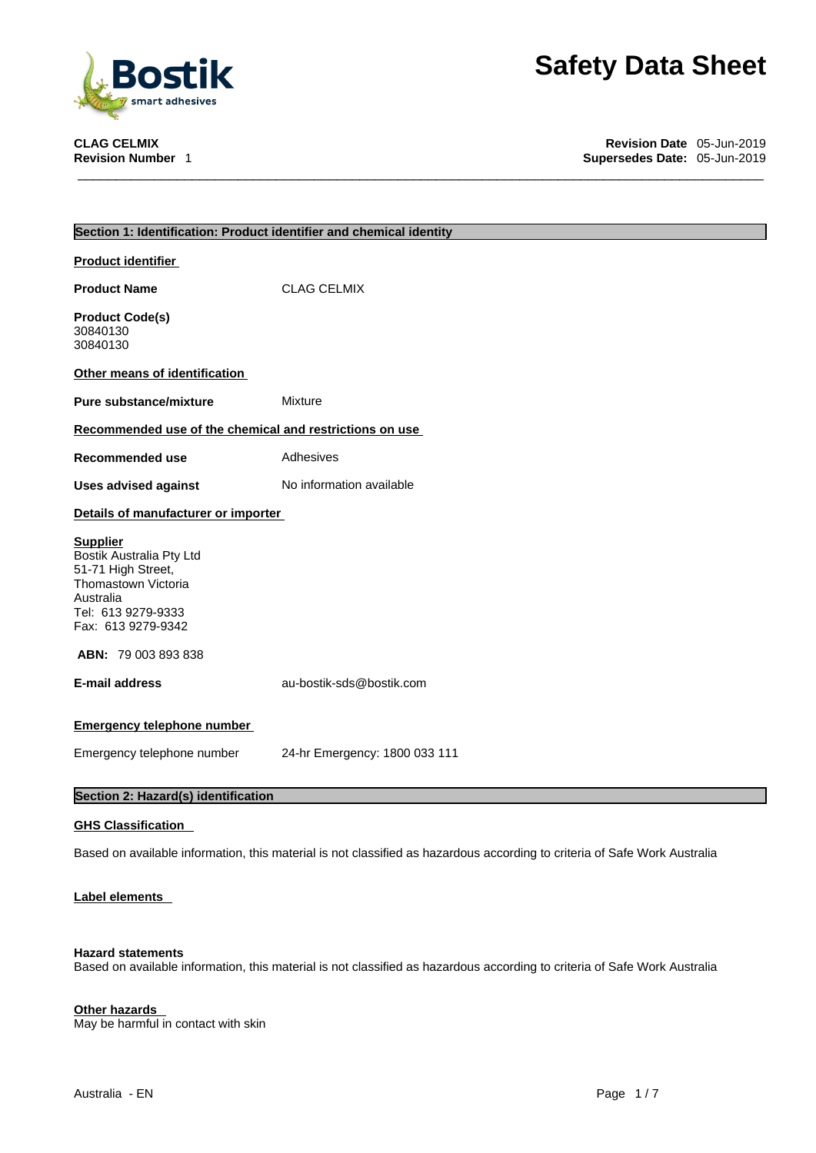

**CLAG CELMIX Revision Date** 05-Jun-2019 **Supersedes Date: 05-Jun-2019** 

|                                                         | Section 1: Identification: Product identifier and chemical identity                                                       |
|---------------------------------------------------------|---------------------------------------------------------------------------------------------------------------------------|
| <b>Product identifier</b>                               |                                                                                                                           |
| <b>Product Name</b>                                     | <b>CLAG CELMIX</b>                                                                                                        |
|                                                         |                                                                                                                           |
| <b>Product Code(s)</b><br>30840130                      |                                                                                                                           |
| 30840130                                                |                                                                                                                           |
| Other means of identification                           |                                                                                                                           |
| <b>Pure substance/mixture</b>                           | <b>Mixture</b>                                                                                                            |
| Recommended use of the chemical and restrictions on use |                                                                                                                           |
| <b>Recommended use</b>                                  | Adhesives                                                                                                                 |
| <b>Uses advised against</b>                             | No information available                                                                                                  |
| Details of manufacturer or importer                     |                                                                                                                           |
| <b>Supplier</b>                                         |                                                                                                                           |
| Bostik Australia Pty Ltd                                |                                                                                                                           |
| 51-71 High Street,<br>Thomastown Victoria               |                                                                                                                           |
| Australia                                               |                                                                                                                           |
| Tel: 613 9279-9333<br>Fax: 613 9279-9342                |                                                                                                                           |
| <b>ABN: 79 003 893 838</b>                              |                                                                                                                           |
| <b>E-mail address</b>                                   | au-bostik-sds@bostik.com                                                                                                  |
|                                                         |                                                                                                                           |
| <b>Emergency telephone number</b>                       |                                                                                                                           |
| Emergency telephone number                              | 24-hr Emergency: 1800 033 111                                                                                             |
| Section 2: Hazard(s) identification                     |                                                                                                                           |
| <b>GHS Classification</b>                               |                                                                                                                           |
|                                                         |                                                                                                                           |
|                                                         | Based on available information, this material is not classified as hazardous according to criteria of Safe Work Australia |

# **Label elements**

# **Hazard statements**

Based on available information, this material is not classified as hazardous according to criteria of Safe Work Australia

# **Other hazards**

May be harmful in contact with skin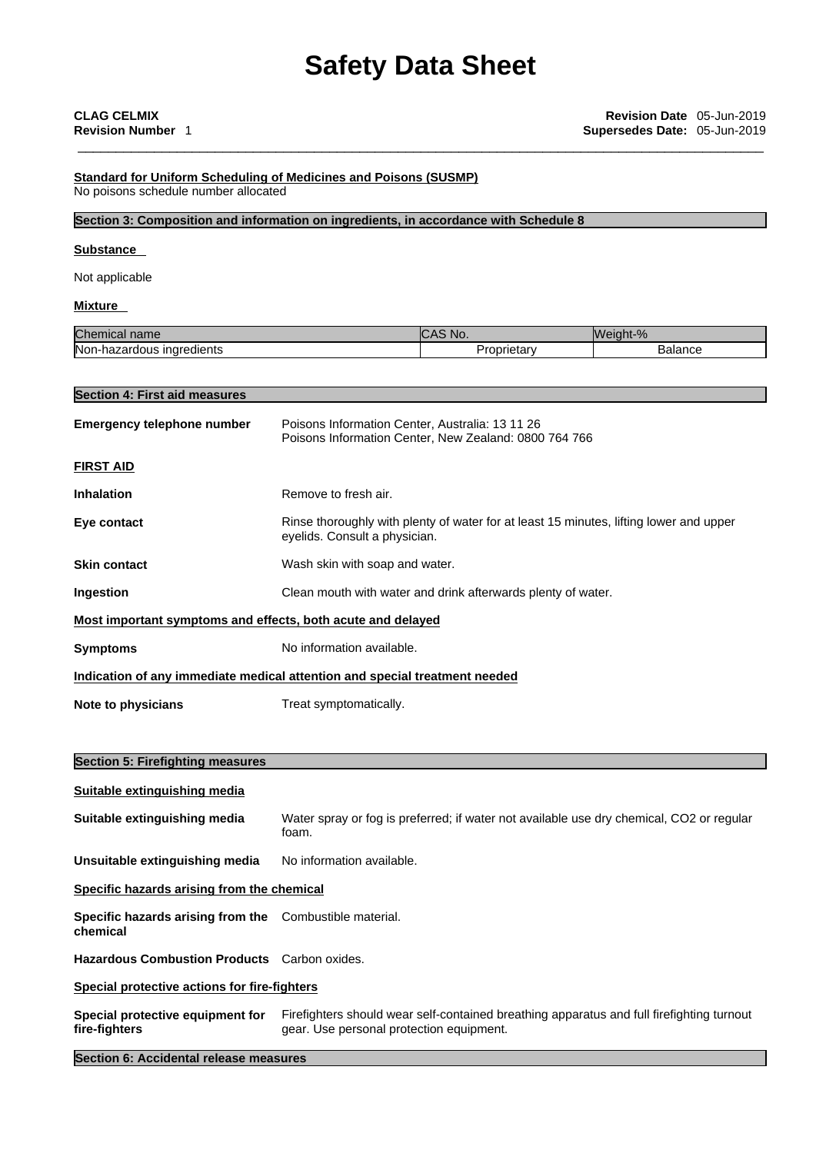## **Standard for Uniform Scheduling of Medicines and Poisons (SUSMP)** No poisons schedule number allocated

## **Section 3: Composition and information on ingredients, in accordance with Schedule 8**

## **Substance**

Not applicable

**Section 4: First aid measures**

## **Mixture**

| Chemical<br>name               | $\mathbf{v}$<br>`No.<br>n. | Weight-% |
|--------------------------------|----------------------------|----------|
| Non-hazardous<br>: inaredients | oprietary،                 | Balance  |

| Section 4: First ald measures                                                                                                                 |                                                                                                                         |  |  |  |
|-----------------------------------------------------------------------------------------------------------------------------------------------|-------------------------------------------------------------------------------------------------------------------------|--|--|--|
| <b>Emergency telephone number</b><br>Poisons Information Center, Australia: 13 11 26<br>Poisons Information Center, New Zealand: 0800 764 766 |                                                                                                                         |  |  |  |
| <b>FIRST AID</b>                                                                                                                              |                                                                                                                         |  |  |  |
| <b>Inhalation</b>                                                                                                                             | Remove to fresh air.                                                                                                    |  |  |  |
| Eye contact                                                                                                                                   | Rinse thoroughly with plenty of water for at least 15 minutes, lifting lower and upper<br>eyelids. Consult a physician. |  |  |  |
| <b>Skin contact</b>                                                                                                                           | Wash skin with soap and water.                                                                                          |  |  |  |
| Ingestion                                                                                                                                     | Clean mouth with water and drink afterwards plenty of water.                                                            |  |  |  |
| Most important symptoms and effects, both acute and delayed                                                                                   |                                                                                                                         |  |  |  |
| <b>Symptoms</b>                                                                                                                               | No information available.                                                                                               |  |  |  |
|                                                                                                                                               | Indication of any immediate medical attention and special treatment needed                                              |  |  |  |
| Note to physicians                                                                                                                            | Treat symptomatically.                                                                                                  |  |  |  |
|                                                                                                                                               |                                                                                                                         |  |  |  |
| <b>Section 5: Firefighting measures</b>                                                                                                       |                                                                                                                         |  |  |  |
| Suitable extinguishing media                                                                                                                  |                                                                                                                         |  |  |  |
| Suitable extinguishing media                                                                                                                  | Water spray or fog is preferred; if water not available use dry chemical, CO2 or regular                                |  |  |  |

**Unsuitable extinguishing media** No information available.

foam.

**Specific hazards arising from the chemical**

**Specific hazards arising from the** Combustible material. **chemical**

**Hazardous Combustion Products** Carbon oxides.

## **Special protective actions for fire-fighters**

**Special protective equipment for fire-fighters** Firefighters should wear self-contained breathing apparatus and full firefighting turnout gear. Use personal protection equipment.

**Section 6: Accidental release measures**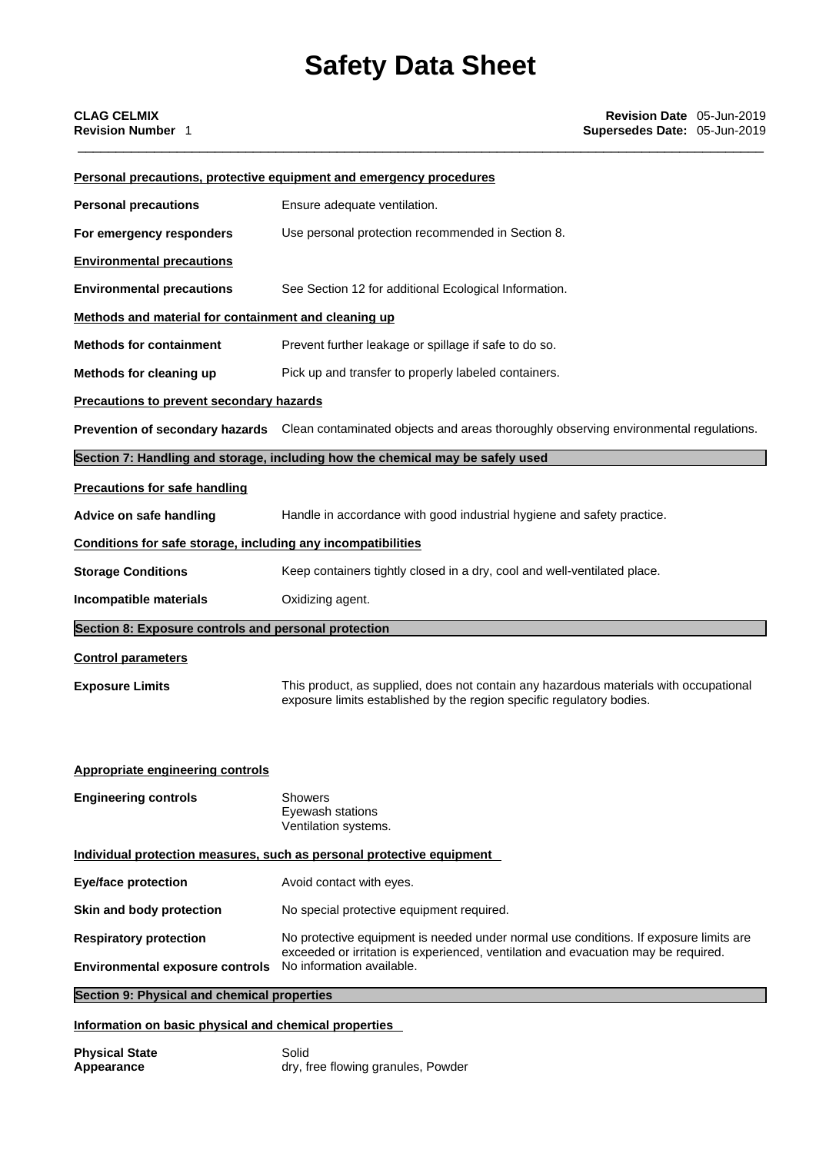| <b>Personal precautions</b><br>Ensure adequate ventilation.<br>Use personal protection recommended in Section 8.<br>For emergency responders<br><b>Environmental precautions</b><br>See Section 12 for additional Ecological Information.<br><b>Environmental precautions</b><br>Methods and material for containment and cleaning up<br>Prevent further leakage or spillage if safe to do so.<br><b>Methods for containment</b><br>Pick up and transfer to properly labeled containers.<br>Methods for cleaning up<br><b>Precautions to prevent secondary hazards</b><br>Prevention of secondary hazards Clean contaminated objects and areas thoroughly observing environmental regulations.<br>Section 7: Handling and storage, including how the chemical may be safely used<br><b>Precautions for safe handling</b><br>Handle in accordance with good industrial hygiene and safety practice.<br>Advice on safe handling<br>Conditions for safe storage, including any incompatibilities<br>Keep containers tightly closed in a dry, cool and well-ventilated place.<br><b>Storage Conditions</b><br>Incompatible materials<br>Oxidizing agent.<br>Section 8: Exposure controls and personal protection<br><b>Control parameters</b><br>This product, as supplied, does not contain any hazardous materials with occupational<br><b>Exposure Limits</b><br>exposure limits established by the region specific regulatory bodies.<br>Appropriate engineering controls<br><b>Engineering controls</b><br><b>Showers</b><br>Eyewash stations<br>Ventilation systems.<br>Individual protection measures, such as personal protective equipment<br>Avoid contact with eyes.<br><b>Eye/face protection</b><br>No special protective equipment required.<br>Skin and body protection<br><b>Respiratory protection</b><br>No protective equipment is needed under normal use conditions. If exposure limits are<br>exceeded or irritation is experienced, ventilation and evacuation may be required.<br>No information available.<br><b>Environmental exposure controls</b><br>Section 9: Physical and chemical properties |  | <b>Personal precautions, protective equipment and emergency procedures</b> |  |  |  |
|--------------------------------------------------------------------------------------------------------------------------------------------------------------------------------------------------------------------------------------------------------------------------------------------------------------------------------------------------------------------------------------------------------------------------------------------------------------------------------------------------------------------------------------------------------------------------------------------------------------------------------------------------------------------------------------------------------------------------------------------------------------------------------------------------------------------------------------------------------------------------------------------------------------------------------------------------------------------------------------------------------------------------------------------------------------------------------------------------------------------------------------------------------------------------------------------------------------------------------------------------------------------------------------------------------------------------------------------------------------------------------------------------------------------------------------------------------------------------------------------------------------------------------------------------------------------------------------------------------------------------------------------------------------------------------------------------------------------------------------------------------------------------------------------------------------------------------------------------------------------------------------------------------------------------------------------------------------------------------------------------------------------------------------------------------------------------------------------------------------------------|--|----------------------------------------------------------------------------|--|--|--|
|                                                                                                                                                                                                                                                                                                                                                                                                                                                                                                                                                                                                                                                                                                                                                                                                                                                                                                                                                                                                                                                                                                                                                                                                                                                                                                                                                                                                                                                                                                                                                                                                                                                                                                                                                                                                                                                                                                                                                                                                                                                                                                                          |  |                                                                            |  |  |  |
|                                                                                                                                                                                                                                                                                                                                                                                                                                                                                                                                                                                                                                                                                                                                                                                                                                                                                                                                                                                                                                                                                                                                                                                                                                                                                                                                                                                                                                                                                                                                                                                                                                                                                                                                                                                                                                                                                                                                                                                                                                                                                                                          |  |                                                                            |  |  |  |
|                                                                                                                                                                                                                                                                                                                                                                                                                                                                                                                                                                                                                                                                                                                                                                                                                                                                                                                                                                                                                                                                                                                                                                                                                                                                                                                                                                                                                                                                                                                                                                                                                                                                                                                                                                                                                                                                                                                                                                                                                                                                                                                          |  |                                                                            |  |  |  |
|                                                                                                                                                                                                                                                                                                                                                                                                                                                                                                                                                                                                                                                                                                                                                                                                                                                                                                                                                                                                                                                                                                                                                                                                                                                                                                                                                                                                                                                                                                                                                                                                                                                                                                                                                                                                                                                                                                                                                                                                                                                                                                                          |  |                                                                            |  |  |  |
|                                                                                                                                                                                                                                                                                                                                                                                                                                                                                                                                                                                                                                                                                                                                                                                                                                                                                                                                                                                                                                                                                                                                                                                                                                                                                                                                                                                                                                                                                                                                                                                                                                                                                                                                                                                                                                                                                                                                                                                                                                                                                                                          |  |                                                                            |  |  |  |
|                                                                                                                                                                                                                                                                                                                                                                                                                                                                                                                                                                                                                                                                                                                                                                                                                                                                                                                                                                                                                                                                                                                                                                                                                                                                                                                                                                                                                                                                                                                                                                                                                                                                                                                                                                                                                                                                                                                                                                                                                                                                                                                          |  |                                                                            |  |  |  |
|                                                                                                                                                                                                                                                                                                                                                                                                                                                                                                                                                                                                                                                                                                                                                                                                                                                                                                                                                                                                                                                                                                                                                                                                                                                                                                                                                                                                                                                                                                                                                                                                                                                                                                                                                                                                                                                                                                                                                                                                                                                                                                                          |  |                                                                            |  |  |  |
|                                                                                                                                                                                                                                                                                                                                                                                                                                                                                                                                                                                                                                                                                                                                                                                                                                                                                                                                                                                                                                                                                                                                                                                                                                                                                                                                                                                                                                                                                                                                                                                                                                                                                                                                                                                                                                                                                                                                                                                                                                                                                                                          |  |                                                                            |  |  |  |
|                                                                                                                                                                                                                                                                                                                                                                                                                                                                                                                                                                                                                                                                                                                                                                                                                                                                                                                                                                                                                                                                                                                                                                                                                                                                                                                                                                                                                                                                                                                                                                                                                                                                                                                                                                                                                                                                                                                                                                                                                                                                                                                          |  |                                                                            |  |  |  |
|                                                                                                                                                                                                                                                                                                                                                                                                                                                                                                                                                                                                                                                                                                                                                                                                                                                                                                                                                                                                                                                                                                                                                                                                                                                                                                                                                                                                                                                                                                                                                                                                                                                                                                                                                                                                                                                                                                                                                                                                                                                                                                                          |  |                                                                            |  |  |  |
|                                                                                                                                                                                                                                                                                                                                                                                                                                                                                                                                                                                                                                                                                                                                                                                                                                                                                                                                                                                                                                                                                                                                                                                                                                                                                                                                                                                                                                                                                                                                                                                                                                                                                                                                                                                                                                                                                                                                                                                                                                                                                                                          |  |                                                                            |  |  |  |
|                                                                                                                                                                                                                                                                                                                                                                                                                                                                                                                                                                                                                                                                                                                                                                                                                                                                                                                                                                                                                                                                                                                                                                                                                                                                                                                                                                                                                                                                                                                                                                                                                                                                                                                                                                                                                                                                                                                                                                                                                                                                                                                          |  |                                                                            |  |  |  |
|                                                                                                                                                                                                                                                                                                                                                                                                                                                                                                                                                                                                                                                                                                                                                                                                                                                                                                                                                                                                                                                                                                                                                                                                                                                                                                                                                                                                                                                                                                                                                                                                                                                                                                                                                                                                                                                                                                                                                                                                                                                                                                                          |  |                                                                            |  |  |  |
|                                                                                                                                                                                                                                                                                                                                                                                                                                                                                                                                                                                                                                                                                                                                                                                                                                                                                                                                                                                                                                                                                                                                                                                                                                                                                                                                                                                                                                                                                                                                                                                                                                                                                                                                                                                                                                                                                                                                                                                                                                                                                                                          |  |                                                                            |  |  |  |
|                                                                                                                                                                                                                                                                                                                                                                                                                                                                                                                                                                                                                                                                                                                                                                                                                                                                                                                                                                                                                                                                                                                                                                                                                                                                                                                                                                                                                                                                                                                                                                                                                                                                                                                                                                                                                                                                                                                                                                                                                                                                                                                          |  |                                                                            |  |  |  |
|                                                                                                                                                                                                                                                                                                                                                                                                                                                                                                                                                                                                                                                                                                                                                                                                                                                                                                                                                                                                                                                                                                                                                                                                                                                                                                                                                                                                                                                                                                                                                                                                                                                                                                                                                                                                                                                                                                                                                                                                                                                                                                                          |  |                                                                            |  |  |  |
|                                                                                                                                                                                                                                                                                                                                                                                                                                                                                                                                                                                                                                                                                                                                                                                                                                                                                                                                                                                                                                                                                                                                                                                                                                                                                                                                                                                                                                                                                                                                                                                                                                                                                                                                                                                                                                                                                                                                                                                                                                                                                                                          |  |                                                                            |  |  |  |
|                                                                                                                                                                                                                                                                                                                                                                                                                                                                                                                                                                                                                                                                                                                                                                                                                                                                                                                                                                                                                                                                                                                                                                                                                                                                                                                                                                                                                                                                                                                                                                                                                                                                                                                                                                                                                                                                                                                                                                                                                                                                                                                          |  |                                                                            |  |  |  |
|                                                                                                                                                                                                                                                                                                                                                                                                                                                                                                                                                                                                                                                                                                                                                                                                                                                                                                                                                                                                                                                                                                                                                                                                                                                                                                                                                                                                                                                                                                                                                                                                                                                                                                                                                                                                                                                                                                                                                                                                                                                                                                                          |  |                                                                            |  |  |  |
|                                                                                                                                                                                                                                                                                                                                                                                                                                                                                                                                                                                                                                                                                                                                                                                                                                                                                                                                                                                                                                                                                                                                                                                                                                                                                                                                                                                                                                                                                                                                                                                                                                                                                                                                                                                                                                                                                                                                                                                                                                                                                                                          |  |                                                                            |  |  |  |
|                                                                                                                                                                                                                                                                                                                                                                                                                                                                                                                                                                                                                                                                                                                                                                                                                                                                                                                                                                                                                                                                                                                                                                                                                                                                                                                                                                                                                                                                                                                                                                                                                                                                                                                                                                                                                                                                                                                                                                                                                                                                                                                          |  |                                                                            |  |  |  |
|                                                                                                                                                                                                                                                                                                                                                                                                                                                                                                                                                                                                                                                                                                                                                                                                                                                                                                                                                                                                                                                                                                                                                                                                                                                                                                                                                                                                                                                                                                                                                                                                                                                                                                                                                                                                                                                                                                                                                                                                                                                                                                                          |  |                                                                            |  |  |  |
|                                                                                                                                                                                                                                                                                                                                                                                                                                                                                                                                                                                                                                                                                                                                                                                                                                                                                                                                                                                                                                                                                                                                                                                                                                                                                                                                                                                                                                                                                                                                                                                                                                                                                                                                                                                                                                                                                                                                                                                                                                                                                                                          |  |                                                                            |  |  |  |
|                                                                                                                                                                                                                                                                                                                                                                                                                                                                                                                                                                                                                                                                                                                                                                                                                                                                                                                                                                                                                                                                                                                                                                                                                                                                                                                                                                                                                                                                                                                                                                                                                                                                                                                                                                                                                                                                                                                                                                                                                                                                                                                          |  |                                                                            |  |  |  |
|                                                                                                                                                                                                                                                                                                                                                                                                                                                                                                                                                                                                                                                                                                                                                                                                                                                                                                                                                                                                                                                                                                                                                                                                                                                                                                                                                                                                                                                                                                                                                                                                                                                                                                                                                                                                                                                                                                                                                                                                                                                                                                                          |  |                                                                            |  |  |  |
|                                                                                                                                                                                                                                                                                                                                                                                                                                                                                                                                                                                                                                                                                                                                                                                                                                                                                                                                                                                                                                                                                                                                                                                                                                                                                                                                                                                                                                                                                                                                                                                                                                                                                                                                                                                                                                                                                                                                                                                                                                                                                                                          |  |                                                                            |  |  |  |

# **Information on basic physical and chemical properties**

| <b>Physical State</b> | Solid                              |
|-----------------------|------------------------------------|
| Appearance            | dry, free flowing granules, Powder |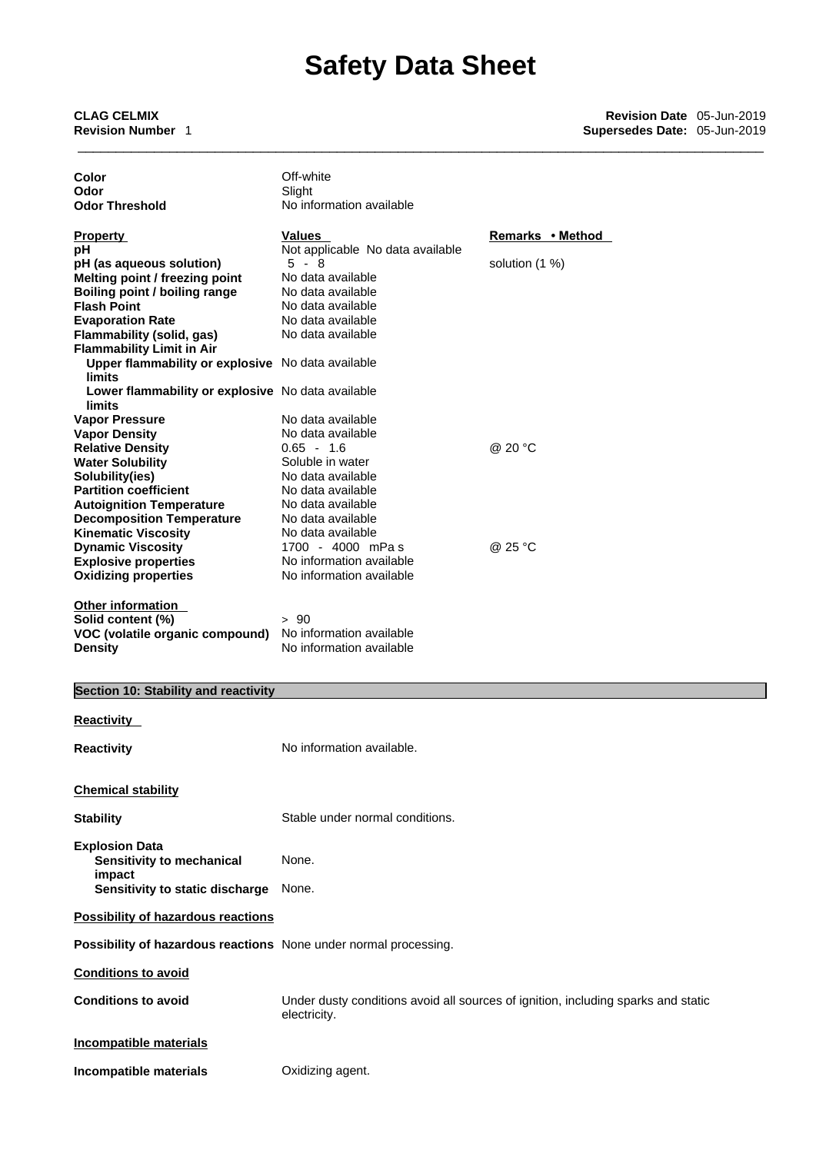\_\_\_\_\_\_\_\_\_\_\_\_\_\_\_\_\_\_\_\_\_\_\_\_\_\_\_\_\_\_\_\_\_\_\_\_\_\_\_\_\_\_\_\_\_\_\_\_\_\_\_\_\_\_\_\_\_\_\_\_\_\_\_\_\_\_\_\_\_\_\_\_\_\_\_\_\_\_\_\_\_\_\_\_\_\_\_\_\_\_ **CLAG CELMIX Revision Date** 05-Jun-2019 **Revision Number** 1 **Supersedes Date:** 05-Jun-2019

| Color<br>Odor                                                    | Off-white<br>Slight              |                  |
|------------------------------------------------------------------|----------------------------------|------------------|
| <b>Odor Threshold</b>                                            | No information available         |                  |
|                                                                  |                                  |                  |
| <b>Property</b>                                                  | <b>Values</b>                    | Remarks • Method |
| рH                                                               | Not applicable No data available |                  |
| pH (as aqueous solution)<br>Melting point / freezing point       | $5 - 8$<br>No data available     | solution $(1%)$  |
| <b>Boiling point / boiling range</b>                             | No data available                |                  |
| <b>Flash Point</b>                                               | No data available                |                  |
| <b>Evaporation Rate</b>                                          | No data available                |                  |
| <b>Flammability (solid, gas)</b>                                 | No data available                |                  |
| <b>Flammability Limit in Air</b>                                 |                                  |                  |
| Upper flammability or explosive No data available<br>limits      |                                  |                  |
| Lower flammability or explosive No data available<br>limits      |                                  |                  |
| <b>Vapor Pressure</b>                                            | No data available                |                  |
| <b>Vapor Density</b>                                             | No data available                |                  |
| <b>Relative Density</b>                                          | $0.65 - 1.6$<br>Soluble in water | @ 20 °C          |
| <b>Water Solubility</b><br>Solubility(ies)                       | No data available                |                  |
| <b>Partition coefficient</b>                                     | No data available                |                  |
| <b>Autoignition Temperature</b>                                  | No data available                |                  |
| <b>Decomposition Temperature</b>                                 | No data available                |                  |
| <b>Kinematic Viscosity</b>                                       | No data available                |                  |
| <b>Dynamic Viscosity</b>                                         | 1700 - 4000 mPas                 | @ 25 °C          |
| <b>Explosive properties</b>                                      | No information available         |                  |
| <b>Oxidizing properties</b>                                      | No information available         |                  |
| Other information<br>Solid content (%)                           | >90                              |                  |
| VOC (volatile organic compound)                                  | No information available         |                  |
| <b>Density</b>                                                   | No information available         |                  |
|                                                                  |                                  |                  |
| Section 10: Stability and reactivity                             |                                  |                  |
| <b>Reactivity</b>                                                |                                  |                  |
| <b>Reactivity</b>                                                | No information available.        |                  |
|                                                                  |                                  |                  |
| <b>Chemical stability</b>                                        |                                  |                  |
| <b>Stability</b>                                                 | Stable under normal conditions.  |                  |
| <b>Explosion Data</b>                                            |                                  |                  |
| Sensitivity to mechanical                                        | None.                            |                  |
| impact                                                           |                                  |                  |
| Sensitivity to static discharge                                  | None.                            |                  |
| <b>Possibility of hazardous reactions</b>                        |                                  |                  |
| Possibility of hazardous reactions None under normal processing. |                                  |                  |
| <b>Conditions to avoid</b>                                       |                                  |                  |

**Conditions to avoid** Under dusty conditions avoid all sources of ignition, including sparks and static electricity.

# **Incompatible materials**

**Incompatible materials** Oxidizing agent.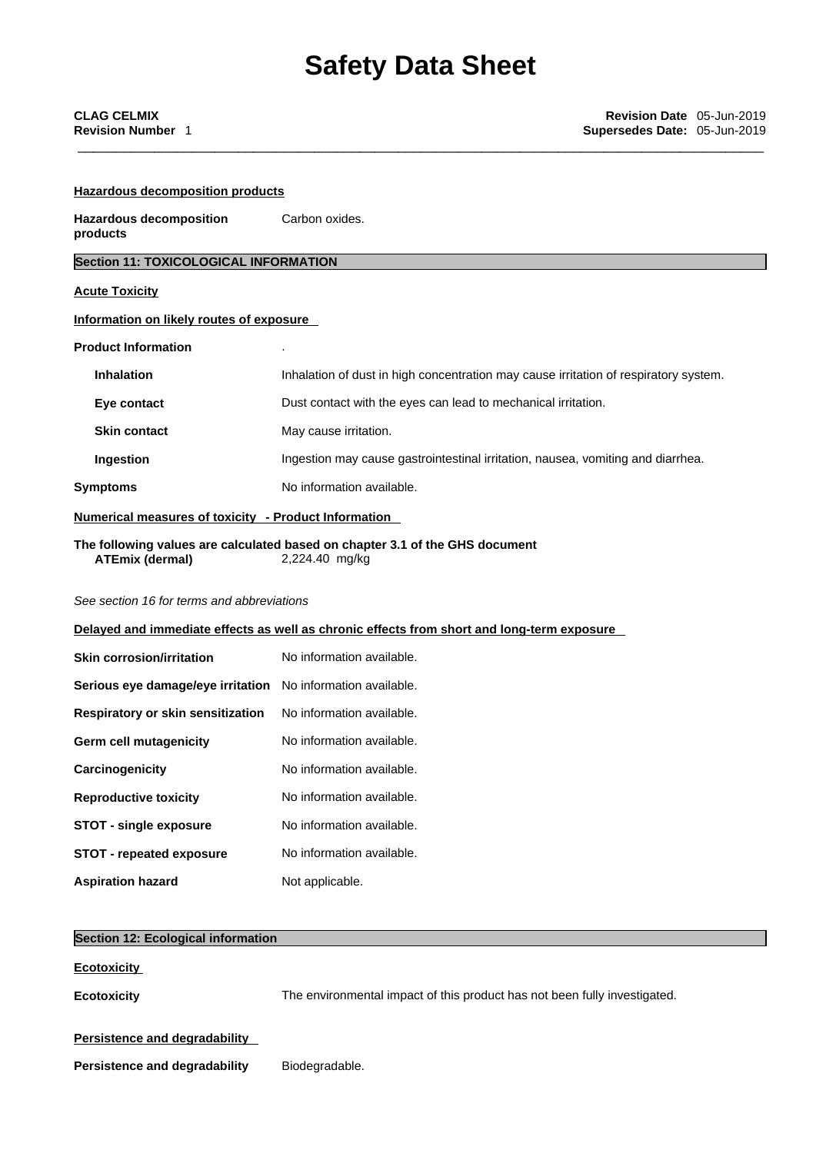| <b>Hazardous decomposition products</b>                      |                                                                                                |  |  |
|--------------------------------------------------------------|------------------------------------------------------------------------------------------------|--|--|
| <b>Hazardous decomposition</b><br>Carbon oxides.<br>products |                                                                                                |  |  |
| <b>Section 11: TOXICOLOGICAL INFORMATION</b>                 |                                                                                                |  |  |
| <b>Acute Toxicity</b>                                        |                                                                                                |  |  |
| Information on likely routes of exposure                     |                                                                                                |  |  |
| <b>Product Information</b>                                   |                                                                                                |  |  |
| <b>Inhalation</b>                                            | Inhalation of dust in high concentration may cause irritation of respiratory system.           |  |  |
| Eye contact                                                  | Dust contact with the eyes can lead to mechanical irritation.                                  |  |  |
| <b>Skin contact</b>                                          | May cause irritation.                                                                          |  |  |
| Ingestion                                                    | Ingestion may cause gastrointestinal irritation, nausea, vomiting and diarrhea.                |  |  |
| <b>Symptoms</b>                                              | No information available.                                                                      |  |  |
| Numerical measures of toxicity - Product Information         |                                                                                                |  |  |
| <b>ATEmix (dermal)</b>                                       | The following values are calculated based on chapter 3.1 of the GHS document<br>2,224.40 mg/kg |  |  |
| See section 16 for terms and abbreviations                   |                                                                                                |  |  |
|                                                              | Delayed and immediate effects as well as chronic effects from short and long-term exposure     |  |  |
| <b>Skin corrosion/irritation</b>                             | No information available.                                                                      |  |  |
| Serious eye damage/eye irritation No information available.  |                                                                                                |  |  |
| Respiratory or skin sensitization                            | No information available.                                                                      |  |  |
| <b>Germ cell mutagenicity</b>                                | No information available.                                                                      |  |  |
| Carcinogenicity                                              | No information available.                                                                      |  |  |
| <b>Reproductive toxicity</b>                                 | No information available.                                                                      |  |  |
| <b>STOT - single exposure</b>                                | No information available.                                                                      |  |  |
| <b>STOT - repeated exposure</b>                              | No information available.                                                                      |  |  |
| <b>Aspiration hazard</b>                                     | Not applicable.                                                                                |  |  |
| <b>Section 12: Ecological information</b>                    |                                                                                                |  |  |
| <b>Ecotoxicity</b>                                           |                                                                                                |  |  |
| <b>Ecotoxicity</b>                                           | The environmental impact of this product has not been fully investigated.                      |  |  |
| Persistence and degradability                                |                                                                                                |  |  |
| <b>Persistence and degradability</b>                         | Biodegradable.                                                                                 |  |  |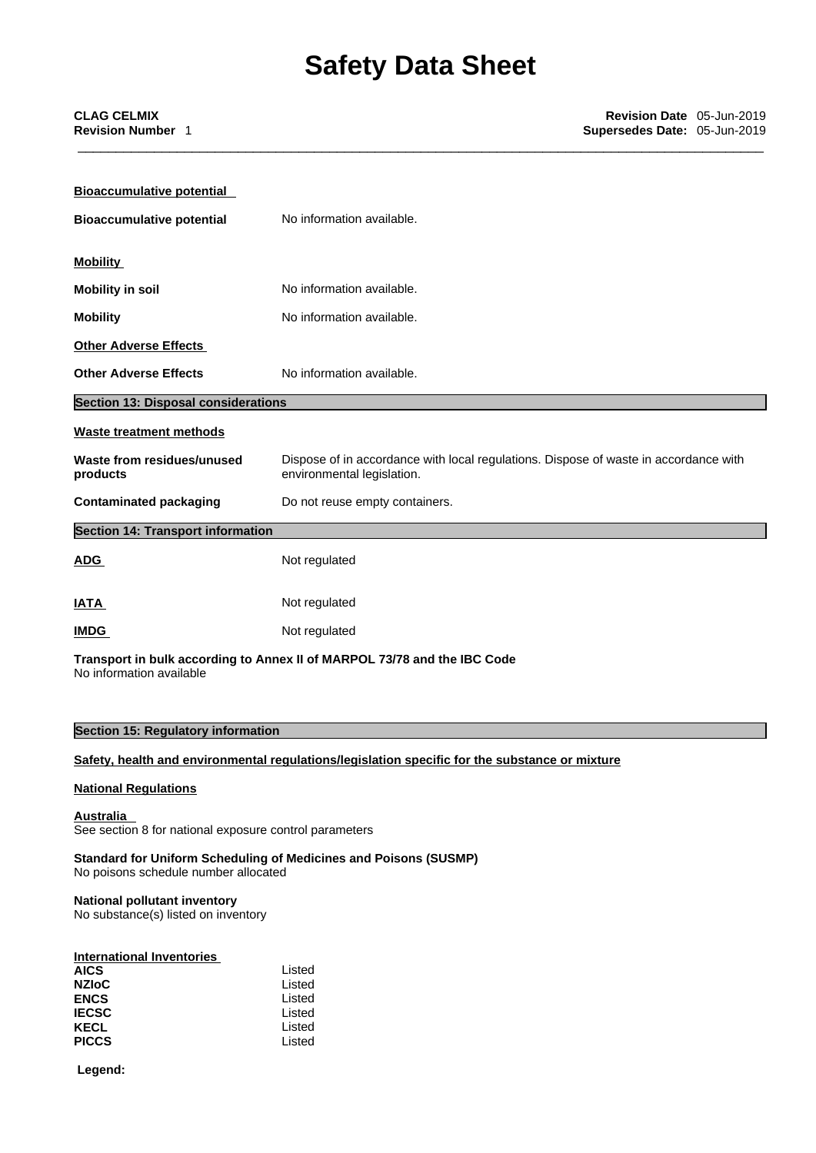| <b>Bioaccumulative potential</b>           |                                                                                                                    |
|--------------------------------------------|--------------------------------------------------------------------------------------------------------------------|
| <b>Bioaccumulative potential</b>           | No information available.                                                                                          |
| <b>Mobility</b>                            |                                                                                                                    |
| <b>Mobility in soil</b>                    | No information available.                                                                                          |
| <b>Mobility</b>                            | No information available.                                                                                          |
| <b>Other Adverse Effects</b>               |                                                                                                                    |
| <b>Other Adverse Effects</b>               | No information available.                                                                                          |
| <b>Section 13: Disposal considerations</b> |                                                                                                                    |
| <b>Waste treatment methods</b>             |                                                                                                                    |
| Waste from residues/unused<br>products     | Dispose of in accordance with local regulations. Dispose of waste in accordance with<br>environmental legislation. |
| <b>Contaminated packaging</b>              | Do not reuse empty containers.                                                                                     |
| <b>Section 14: Transport information</b>   |                                                                                                                    |
| <b>ADG</b>                                 | Not regulated                                                                                                      |
| <b>IATA</b>                                | Not regulated                                                                                                      |
| <b>IMDG</b>                                | Not regulated                                                                                                      |
|                                            |                                                                                                                    |

**Transport in bulk according to Annex II ofMARPOL 73/78 and the IBC Code** No information available

# **Section 15: Regulatory information**

## **Safety, health and environmental regulations/legislation specific for the substance or mixture**

## **National Regulations**

# **Australia**

See section 8 for national exposure control parameters

**Standard for Uniform Scheduling of Medicines and Poisons (SUSMP)**

No poisons schedule number allocated

# **National pollutant inventory**

No substance(s) listed on inventory

# **International Inventories**

| <b>AICS</b>  | Listed |
|--------------|--------|
| NZIoC        | Listed |
| <b>ENCS</b>  | Listed |
| IECSC        | Listed |
| KECL         | Listed |
| <b>PICCS</b> | Listed |
|              |        |

 **Legend:**